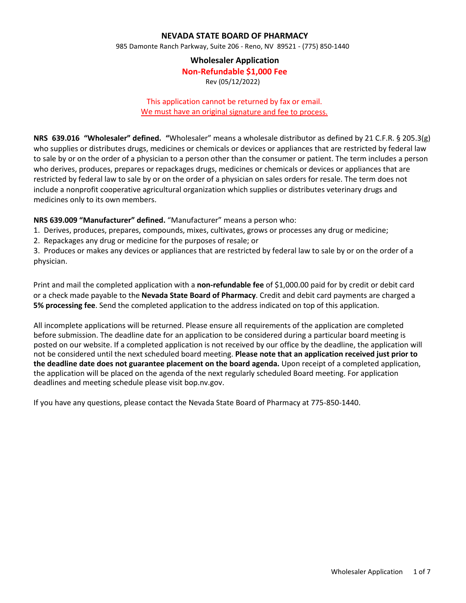### **NEVADA STATE BOARD OF PHARMACY**

985 Damonte Ranch Parkway, Suite 206 - Reno, NV 89521 - (775) 850-1440

#### **Wholesaler Application**

**Non-Refundable \$1,000 Fee**

Rev (05/12/2022)

#### This application cannot be returned by fax or email. We must have an original signature and fee to process.

**NRS 639.016 "Wholesaler" defined. "**Wholesaler" means a wholesale distributor as defined by 21 C.F.R. § 205.3(g) who supplies or distributes drugs, medicines or chemicals or devices or appliances that are restricted by federal law to sale by or on the order of a physician to a person other than the consumer or patient. The term includes a person who derives, produces, prepares or repackages drugs, medicines or chemicals or devices or appliances that are restricted by federal law to sale by or on the order of a physician on sales orders for resale. The term does not include a nonprofit cooperative agricultural organization which supplies or distributes veterinary drugs and medicines only to its own members.

**NRS 639.009 "Manufacturer" defined.** "Manufacturer" means a person who:

- 1. Derives, produces, prepares, compounds, mixes, cultivates, grows or processes any drug or medicine;
- 2. Repackages any drug or medicine for the purposes of resale; or

3. Produces or makes any devices or appliances that are restricted by federal law to sale by or on the order of a physician.

Print and mail the completed application with a **non-refundable fee** of \$1,000.00 paid for by credit or debit card or a check made payable to the **Nevada State Board of Pharmacy**. Credit and debit card payments are charged a **5% processing fee**. Send the completed application to the address indicated on top of this application.

All incomplete applications will be returned. Please ensure all requirements of the application are completed before submission. The deadline date for an application to be considered during a particular board meeting is posted on our website. If a completed application is not received by our office by the deadline, the application will not be considered until the next scheduled board meeting. **Please note that an application received just prior to the deadline date does not guarantee placement on the board agenda.** Upon receipt of a completed application, the application will be placed on the agenda of the next regularly scheduled Board meeting. For application deadlines and meeting schedule please visit bop.nv.gov.

If you have any questions, please contact the Nevada State Board of Pharmacy at 775-850-1440.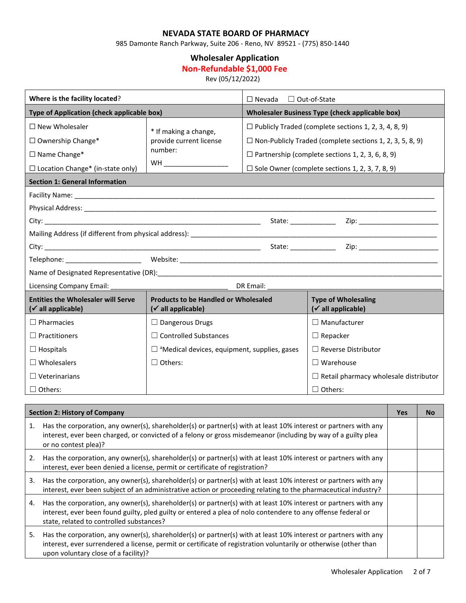## **NEVADA STATE BOARD OF PHARMACY**

985 Damonte Ranch Parkway, Suite 206 - Reno, NV 89521 - (775) 850-1440

# **Wholesaler Application**

# **Non-Refundable \$1,000 Fee**

Rev (05/12/2022)

| Where is the facility located?                                              |                                                                               | $\Box$ Out-of-State<br>$\Box$ Nevada            |                                                                 |  |
|-----------------------------------------------------------------------------|-------------------------------------------------------------------------------|-------------------------------------------------|-----------------------------------------------------------------|--|
| Type of Application (check applicable box)                                  |                                                                               | Wholesaler Business Type (check applicable box) |                                                                 |  |
| $\Box$ New Wholesaler                                                       | * If making a change,                                                         |                                                 | $\Box$ Publicly Traded (complete sections 1, 2, 3, 4, 8, 9)     |  |
| $\Box$ Ownership Change*                                                    | provide current license                                                       |                                                 | $\Box$ Non-Publicly Traded (complete sections 1, 2, 3, 5, 8, 9) |  |
| $\Box$ Name Change*                                                         | number:                                                                       |                                                 | $\Box$ Partnership (complete sections 1, 2, 3, 6, 8, 9)         |  |
| $\Box$ Location Change* (in-state only)                                     | WH _______________________                                                    |                                                 | $\Box$ Sole Owner (complete sections 1, 2, 3, 7, 8, 9)          |  |
| <b>Section 1: General Information</b>                                       |                                                                               |                                                 |                                                                 |  |
|                                                                             |                                                                               |                                                 |                                                                 |  |
|                                                                             |                                                                               |                                                 |                                                                 |  |
|                                                                             |                                                                               |                                                 | State: <u>Zip: Zip:</u> Zip:                                    |  |
|                                                                             |                                                                               |                                                 |                                                                 |  |
|                                                                             |                                                                               |                                                 |                                                                 |  |
|                                                                             |                                                                               |                                                 |                                                                 |  |
|                                                                             |                                                                               |                                                 |                                                                 |  |
|                                                                             |                                                                               |                                                 |                                                                 |  |
| <b>Entities the Wholesaler will Serve</b><br>$(\checkmark)$ all applicable) | <b>Products to be Handled or Wholesaled</b><br>$(\checkmark)$ all applicable) |                                                 | <b>Type of Wholesaling</b><br>$(\checkmark)$ all applicable)    |  |
| $\Box$ Pharmacies                                                           | $\Box$ Dangerous Drugs                                                        |                                                 | $\Box$ Manufacturer                                             |  |
| $\Box$ Practitioners                                                        | $\Box$ Controlled Substances                                                  |                                                 | $\Box$ Repacker                                                 |  |
| $\Box$ Hospitals                                                            | $\Box$ <sup>a</sup> Medical devices, equipment, supplies, gases               |                                                 | $\Box$ Reverse Distributor                                      |  |
| $\Box$ Wholesalers                                                          | $\Box$ Others:                                                                |                                                 | $\Box$ Warehouse                                                |  |
| $\Box$ Veterinarians                                                        |                                                                               |                                                 | $\Box$ Retail pharmacy wholesale distributor                    |  |
| $\Box$ Others:                                                              |                                                                               |                                                 | $\Box$ Others:                                                  |  |

| <b>Section 2: History of Company</b> |                                                                                                                                                                                                                                                                             |  | No |
|--------------------------------------|-----------------------------------------------------------------------------------------------------------------------------------------------------------------------------------------------------------------------------------------------------------------------------|--|----|
| 1.                                   | Has the corporation, any owner(s), shareholder(s) or partner(s) with at least 10% interest or partners with any<br>interest, ever been charged, or convicted of a felony or gross misdemeanor (including by way of a guilty plea<br>or no contest plea)?                    |  |    |
| 2.                                   | Has the corporation, any owner(s), shareholder(s) or partner(s) with at least 10% interest or partners with any<br>interest, ever been denied a license, permit or certificate of registration?                                                                             |  |    |
| 3.                                   | Has the corporation, any owner(s), shareholder(s) or partner(s) with at least 10% interest or partners with any<br>interest, ever been subject of an administrative action or proceeding relating to the pharmaceutical industry?                                           |  |    |
| 4.                                   | Has the corporation, any owner(s), shareholder(s) or partner(s) with at least 10% interest or partners with any<br>interest, ever been found guilty, pled guilty or entered a plea of nolo contendere to any offense federal or<br>state, related to controlled substances? |  |    |
| 5.                                   | Has the corporation, any owner(s), shareholder(s) or partner(s) with at least 10% interest or partners with any<br>interest, ever surrendered a license, permit or certificate of registration voluntarily or otherwise (other than<br>upon voluntary close of a facility)? |  |    |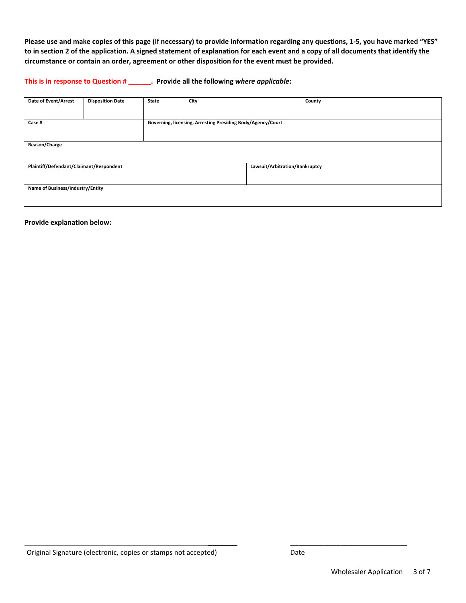**Please use and make copies of this page (if necessary) to provide information regarding any questions, 1-5, you have marked "YES" to in section 2 of the application. A signed statement of explanation for each event and a copy of all documents that identify the circumstance or contain an order, agreement or other disposition for the event must be provided.**

**This is in response to Question # \_\_\_\_\_\_. Provide all the following** *where applicable***:**

| Date of Event/Arrest                    | <b>Disposition Date</b> | State                                                       | City |                                | County |
|-----------------------------------------|-------------------------|-------------------------------------------------------------|------|--------------------------------|--------|
|                                         |                         |                                                             |      |                                |        |
| Case #                                  |                         | Governing, licensing, Arresting Presiding Body/Agency/Court |      |                                |        |
|                                         |                         |                                                             |      |                                |        |
| Reason/Charge                           |                         |                                                             |      |                                |        |
|                                         |                         |                                                             |      |                                |        |
| Plaintiff/Defendant/Claimant/Respondent |                         |                                                             |      | Lawsuit/Arbitration/Bankruptcy |        |
|                                         |                         |                                                             |      |                                |        |
| Name of Business/Industry/Entity        |                         |                                                             |      |                                |        |
|                                         |                         |                                                             |      |                                |        |

**Provide explanation below:**

\_\_\_\_\_\_\_ \_\_\_\_\_\_\_\_\_\_\_\_\_\_\_\_\_\_\_\_\_\_\_\_\_\_\_\_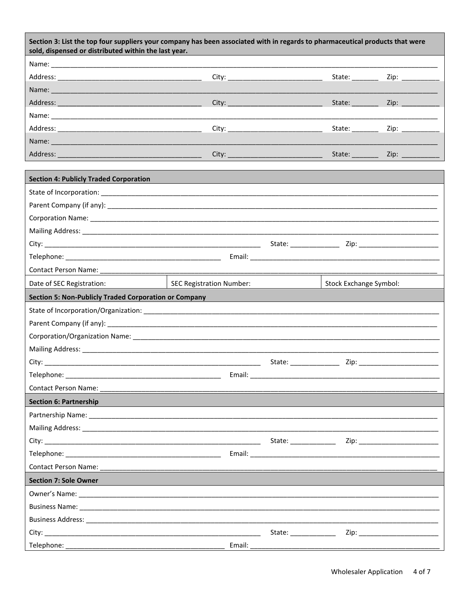| Section 3: List the top four suppliers your company has been associated with in regards to pharmaceutical products that were<br>sold, dispensed or distributed within the last year.                                          |                                                                                                |  |                                                                                                                        |                      |
|-------------------------------------------------------------------------------------------------------------------------------------------------------------------------------------------------------------------------------|------------------------------------------------------------------------------------------------|--|------------------------------------------------------------------------------------------------------------------------|----------------------|
|                                                                                                                                                                                                                               |                                                                                                |  |                                                                                                                        |                      |
|                                                                                                                                                                                                                               |                                                                                                |  | State: $\frac{1}{\sqrt{1-\frac{1}{2}}\sqrt{1-\frac{1}{2}}\sqrt{1-\frac{1}{2}}\sqrt{1-\frac{1}{2}}\sqrt{1-\frac{1}{2}}$ | Zip: __________      |
|                                                                                                                                                                                                                               |                                                                                                |  |                                                                                                                        |                      |
|                                                                                                                                                                                                                               |                                                                                                |  | State: ________                                                                                                        | Zip: $\qquad \qquad$ |
|                                                                                                                                                                                                                               |                                                                                                |  |                                                                                                                        |                      |
|                                                                                                                                                                                                                               |                                                                                                |  |                                                                                                                        |                      |
| Name: Name:                                                                                                                                                                                                                   |                                                                                                |  |                                                                                                                        |                      |
|                                                                                                                                                                                                                               |                                                                                                |  |                                                                                                                        |                      |
|                                                                                                                                                                                                                               |                                                                                                |  |                                                                                                                        |                      |
| <b>Section 4: Publicly Traded Corporation</b>                                                                                                                                                                                 |                                                                                                |  |                                                                                                                        |                      |
|                                                                                                                                                                                                                               |                                                                                                |  |                                                                                                                        |                      |
|                                                                                                                                                                                                                               |                                                                                                |  |                                                                                                                        |                      |
|                                                                                                                                                                                                                               |                                                                                                |  |                                                                                                                        |                      |
|                                                                                                                                                                                                                               |                                                                                                |  |                                                                                                                        |                      |
|                                                                                                                                                                                                                               |                                                                                                |  |                                                                                                                        |                      |
|                                                                                                                                                                                                                               |                                                                                                |  |                                                                                                                        |                      |
|                                                                                                                                                                                                                               |                                                                                                |  |                                                                                                                        |                      |
| Date of SEC Registration:                                                                                                                                                                                                     | <b>SEC Registration Number:</b>                                                                |  | Stock Exchange Symbol:                                                                                                 |                      |
| <b>Section 5: Non-Publicly Traded Corporation or Company</b>                                                                                                                                                                  |                                                                                                |  |                                                                                                                        |                      |
|                                                                                                                                                                                                                               |                                                                                                |  |                                                                                                                        |                      |
|                                                                                                                                                                                                                               |                                                                                                |  |                                                                                                                        |                      |
|                                                                                                                                                                                                                               |                                                                                                |  |                                                                                                                        |                      |
| Mailing Address: Note that the state of the state of the state of the state of the state of the state of the state of the state of the state of the state of the state of the state of the state of the state of the state of |                                                                                                |  |                                                                                                                        |                      |
|                                                                                                                                                                                                                               |                                                                                                |  |                                                                                                                        |                      |
| Telephone: ___________                                                                                                                                                                                                        | ___ Email: ______________<br><u> 1989 - Johann John Stone, mars eta biztanleria (h. 1989).</u> |  |                                                                                                                        |                      |
|                                                                                                                                                                                                                               |                                                                                                |  |                                                                                                                        |                      |
| <b>Section 6: Partnership</b>                                                                                                                                                                                                 |                                                                                                |  |                                                                                                                        |                      |
|                                                                                                                                                                                                                               |                                                                                                |  |                                                                                                                        |                      |
|                                                                                                                                                                                                                               |                                                                                                |  |                                                                                                                        |                      |
|                                                                                                                                                                                                                               |                                                                                                |  |                                                                                                                        |                      |
|                                                                                                                                                                                                                               |                                                                                                |  |                                                                                                                        |                      |
|                                                                                                                                                                                                                               |                                                                                                |  |                                                                                                                        |                      |
| <b>Section 7: Sole Owner</b>                                                                                                                                                                                                  |                                                                                                |  |                                                                                                                        |                      |
|                                                                                                                                                                                                                               |                                                                                                |  |                                                                                                                        |                      |
|                                                                                                                                                                                                                               |                                                                                                |  |                                                                                                                        |                      |
|                                                                                                                                                                                                                               |                                                                                                |  |                                                                                                                        |                      |
|                                                                                                                                                                                                                               |                                                                                                |  |                                                                                                                        |                      |
|                                                                                                                                                                                                                               |                                                                                                |  |                                                                                                                        |                      |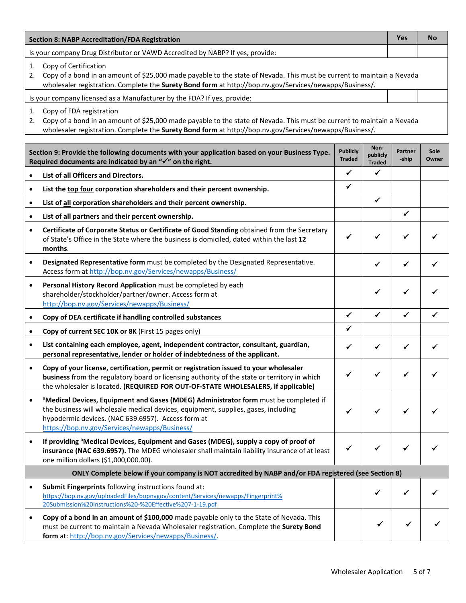| <b>Section 8: NABP Accreditation/FDA Registration</b> |                                                                                                                                                                                                                                                                                               |                                  |                                   | <b>Yes</b>       | <b>No</b>     |
|-------------------------------------------------------|-----------------------------------------------------------------------------------------------------------------------------------------------------------------------------------------------------------------------------------------------------------------------------------------------|----------------------------------|-----------------------------------|------------------|---------------|
|                                                       | Is your company Drug Distributor or VAWD Accredited by NABP? If yes, provide:                                                                                                                                                                                                                 |                                  |                                   |                  |               |
| 1.<br>2.                                              | Copy of Certification<br>Copy of a bond in an amount of \$25,000 made payable to the state of Nevada. This must be current to maintain a Nevada<br>wholesaler registration. Complete the Surety Bond form at http://bop.nv.gov/Services/newapps/Business/.                                    |                                  |                                   |                  |               |
|                                                       | Is your company licensed as a Manufacturer by the FDA? If yes, provide:                                                                                                                                                                                                                       |                                  |                                   |                  |               |
| 1.<br>2.                                              | Copy of FDA registration<br>Copy of a bond in an amount of \$25,000 made payable to the state of Nevada. This must be current to maintain a Nevada<br>wholesaler registration. Complete the Surety Bond form at http://bop.nv.gov/Services/newapps/Business/.                                 |                                  |                                   |                  |               |
|                                                       | Section 9: Provide the following documents with your application based on your Business Type.<br>Required documents are indicated by an " $\checkmark$ " on the right.                                                                                                                        | <b>Publicly</b><br><b>Traded</b> | Non-<br>publicly<br><b>Traded</b> | Partner<br>-ship | Sole<br>Owner |
| $\bullet$                                             | List of all Officers and Directors.                                                                                                                                                                                                                                                           | ✓                                | $\checkmark$                      |                  |               |
| $\bullet$                                             | List the top four corporation shareholders and their percent ownership.                                                                                                                                                                                                                       | ✔                                |                                   |                  |               |
| $\bullet$                                             | List of all corporation shareholders and their percent ownership.                                                                                                                                                                                                                             |                                  | $\checkmark$                      |                  |               |
| $\bullet$                                             | List of all partners and their percent ownership.                                                                                                                                                                                                                                             |                                  |                                   | ✓                |               |
| $\bullet$                                             | Certificate of Corporate Status or Certificate of Good Standing obtained from the Secretary<br>of State's Office in the State where the business is domiciled, dated within the last 12<br>months.                                                                                            | ✓                                | ✔                                 | ✓                |               |
| $\bullet$                                             | Designated Representative form must be completed by the Designated Representative.<br>Access form at http://bop.nv.gov/Services/newapps/Business/                                                                                                                                             |                                  | ✓                                 | ✓                |               |
| $\bullet$                                             | Personal History Record Application must be completed by each<br>shareholder/stockholder/partner/owner. Access form at<br>http://bop.nv.gov/Services/newapps/Business/                                                                                                                        |                                  | ✓                                 | ✓                |               |
| $\bullet$                                             | Copy of DEA certificate if handling controlled substances                                                                                                                                                                                                                                     | $\checkmark$                     | ✓                                 | ✓                |               |
| $\bullet$                                             | Copy of current SEC 10K or 8K (First 15 pages only)                                                                                                                                                                                                                                           | ✔                                |                                   |                  |               |
| $\bullet$                                             | List containing each employee, agent, independent contractor, consultant, guardian,<br>personal representative, lender or holder of indebtedness of the applicant.                                                                                                                            | ✓                                | ✓                                 | ✓                |               |
| $\bullet$                                             | Copy of your license, certification, permit or registration issued to your wholesaler<br>business from the regulatory board or licensing authority of the state or territory in which<br>the wholesaler is located. (REQUIRED FOR OUT-OF-STATE WHOLESALERS, if applicable)                    |                                  |                                   |                  |               |
| $\bullet$                                             | <sup>a</sup> Medical Devices, Equipment and Gases (MDEG) Administrator form must be completed if<br>the business will wholesale medical devices, equipment, supplies, gases, including<br>hypodermic devices. (NAC 639.6957). Access form at<br>https://bop.nv.gov/Services/newapps/Business/ |                                  |                                   |                  |               |
| $\bullet$                                             | If providing <sup>a</sup> Medical Devices, Equipment and Gases (MDEG), supply a copy of proof of<br>insurance (NAC 639.6957). The MDEG wholesaler shall maintain liability insurance of at least<br>one million dollars (\$1,000,000.00).                                                     |                                  |                                   |                  |               |
|                                                       | ONLY Complete below if your company is NOT accredited by NABP and/or FDA registered (see Section 8)                                                                                                                                                                                           |                                  |                                   |                  |               |
| $\bullet$                                             | Submit Fingerprints following instructions found at:<br>https://bop.nv.gov/uploadedFiles/bopnvgov/content/Services/newapps/Fingerprint%<br>20Submission%20Instructions%20-%20Effective%207-1-19.pdf                                                                                           |                                  | ✓                                 |                  |               |
| $\bullet$                                             | Copy of a bond in an amount of \$100,000 made payable only to the State of Nevada. This<br>must be current to maintain a Nevada Wholesaler registration. Complete the Surety Bond<br>form at: http://bop.nv.gov/Services/newapps/Business/.                                                   |                                  |                                   |                  |               |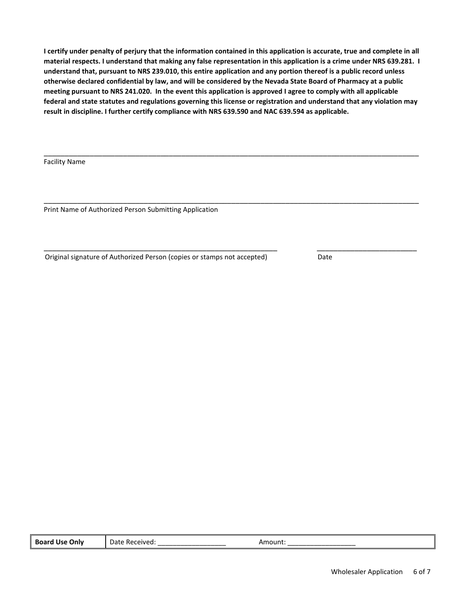**I certify under penalty of perjury that the information contained in this application is accurate, true and complete in all material respects. I understand that making any false representation in this application is a crime under NRS 639.281. I understand that, pursuant to NRS 239.010, this entire application and any portion thereof is a public record unless otherwise declared confidential by law, and will be considered by the Nevada State Board of Pharmacy at a public meeting pursuant to NRS 241.020. In the event this application is approved I agree to comply with all applicable federal and state statutes and regulations governing this license or registration and understand that any violation may result in discipline. I further certify compliance with NRS 639.590 and NAC 639.594 as applicable.**

\_\_\_\_\_\_\_\_\_\_\_\_\_\_\_\_\_\_\_\_\_\_\_\_\_\_\_\_\_\_\_\_\_\_\_\_\_\_\_\_\_\_\_\_\_\_\_\_\_\_\_\_\_\_\_\_\_\_\_\_\_\_\_\_\_\_\_\_\_\_\_\_\_\_\_\_\_\_\_\_\_\_\_\_\_\_\_\_\_\_

\_\_\_\_\_\_\_\_\_\_\_\_\_\_\_\_\_\_\_\_\_\_\_\_\_\_\_\_\_\_\_\_\_\_\_\_\_\_\_\_\_\_\_\_\_\_\_\_\_\_\_\_\_\_\_\_\_\_\_\_\_\_\_\_\_\_\_\_\_\_\_\_\_\_\_\_\_\_\_\_\_\_\_\_\_\_\_\_\_\_

\_\_\_\_\_\_\_\_\_\_\_\_\_\_\_\_\_\_\_\_\_\_\_\_\_\_\_\_\_\_\_\_\_\_\_\_\_\_\_\_\_\_\_\_\_\_\_\_\_\_\_\_\_\_\_\_ \_\_\_\_\_\_\_\_\_\_\_\_\_\_\_\_\_\_\_\_\_\_\_\_

Facility Name

Print Name of Authorized Person Submitting Application

Original signature of Authorized Person (copies or stamps not accepted) Date

| . <b>.</b><br>Only<br><b>Use</b><br>воаго | Datr<br>`Received.<br>. . | nount |  |
|-------------------------------------------|---------------------------|-------|--|
|-------------------------------------------|---------------------------|-------|--|